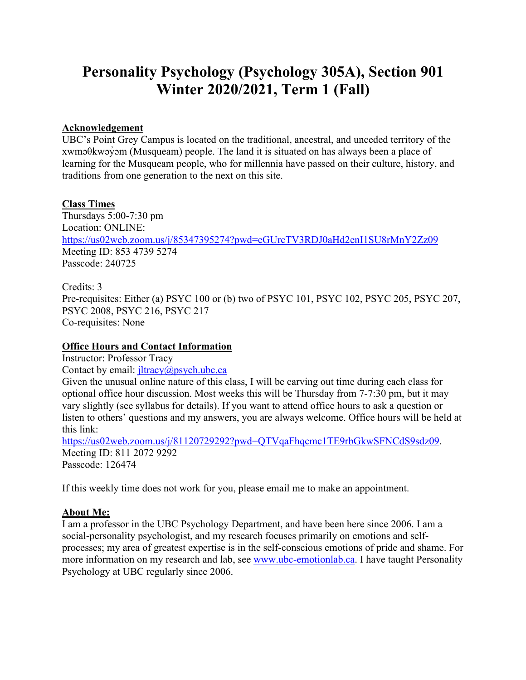# **Personality Psychology (Psychology 305A), Section 901 Winter 2020/2021, Term 1 (Fall)**

# **Acknowledgement**

UBC's Point Grey Campus is located on the traditional, ancestral, and unceded territory of the xwməθkwəy̓əm (Musqueam) people. The land it is situated on has always been a place of learning for the Musqueam people, who for millennia have passed on their culture, history, and traditions from one generation to the next on this site.

## **Class Times**

Thursdays 5:00-7:30 pm Location: ONLINE: https://us02web.zoom.us/j/85347395274?pwd=eGUrcTV3RDJ0aHd2enI1SU8rMnY2Zz09 Meeting ID: 853 4739 5274 Passcode: 240725

Credits: 3 Pre-requisites: Either (a) PSYC 100 or (b) two of PSYC 101, PSYC 102, PSYC 205, PSYC 207, PSYC 2008, PSYC 216, PSYC 217 Co-requisites: None

# **Office Hours and Contact Information**

Instructor: Professor Tracy

Contact by email:  $\frac{1}{\text{litracy}(a)$  psych.ubc.ca

Given the unusual online nature of this class, I will be carving out time during each class for optional office hour discussion. Most weeks this will be Thursday from 7-7:30 pm, but it may vary slightly (see syllabus for details). If you want to attend office hours to ask a question or listen to others' questions and my answers, you are always welcome. Office hours will be held at this link:

https://us02web.zoom.us/j/81120729292?pwd=QTVqaFhqcmc1TE9rbGkwSFNCdS9sdz09. Meeting ID: 811 2072 9292 Passcode: 126474

If this weekly time does not work for you, please email me to make an appointment.

# **About Me:**

I am a professor in the UBC Psychology Department, and have been here since 2006. I am a social-personality psychologist, and my research focuses primarily on emotions and selfprocesses; my area of greatest expertise is in the self-conscious emotions of pride and shame. For more information on my research and lab, see www.ubc-emotionlab.ca. I have taught Personality Psychology at UBC regularly since 2006.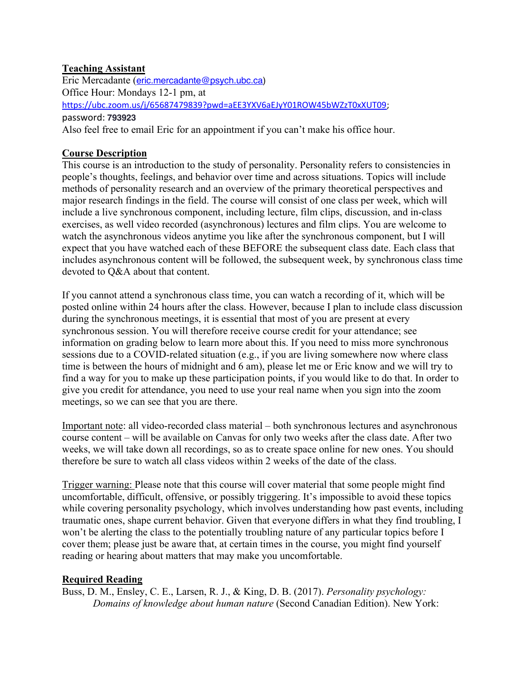# **Teaching Assistant**

Eric Mercadante (eric.mercadante@psych.ubc.ca) Office Hour: Mondays 12-1 pm, at https://ubc.zoom.us/j/65687479839?pwd=aEE3YXV6aEJyY01ROW45bWZzT0xXUT09; password: **793923** Also feel free to email Eric for an appointment if you can't make his office hour.

# **Course Description**

This course is an introduction to the study of personality. Personality refers to consistencies in people's thoughts, feelings, and behavior over time and across situations. Topics will include methods of personality research and an overview of the primary theoretical perspectives and major research findings in the field. The course will consist of one class per week, which will include a live synchronous component, including lecture, film clips, discussion, and in-class exercises, as well video recorded (asynchronous) lectures and film clips. You are welcome to watch the asynchronous videos anytime you like after the synchronous component, but I will expect that you have watched each of these BEFORE the subsequent class date. Each class that includes asynchronous content will be followed, the subsequent week, by synchronous class time devoted to Q&A about that content.

If you cannot attend a synchronous class time, you can watch a recording of it, which will be posted online within 24 hours after the class. However, because I plan to include class discussion during the synchronous meetings, it is essential that most of you are present at every synchronous session. You will therefore receive course credit for your attendance; see information on grading below to learn more about this. If you need to miss more synchronous sessions due to a COVID-related situation (e.g., if you are living somewhere now where class time is between the hours of midnight and 6 am), please let me or Eric know and we will try to find a way for you to make up these participation points, if you would like to do that. In order to give you credit for attendance, you need to use your real name when you sign into the zoom meetings, so we can see that you are there.

Important note: all video-recorded class material – both synchronous lectures and asynchronous course content – will be available on Canvas for only two weeks after the class date. After two weeks, we will take down all recordings, so as to create space online for new ones. You should therefore be sure to watch all class videos within 2 weeks of the date of the class.

Trigger warning: Please note that this course will cover material that some people might find uncomfortable, difficult, offensive, or possibly triggering. It's impossible to avoid these topics while covering personality psychology, which involves understanding how past events, including traumatic ones, shape current behavior. Given that everyone differs in what they find troubling, I won't be alerting the class to the potentially troubling nature of any particular topics before I cover them; please just be aware that, at certain times in the course, you might find yourself reading or hearing about matters that may make you uncomfortable.

# **Required Reading**

Buss, D. M., Ensley, C. E., Larsen, R. J., & King, D. B. (2017). *Personality psychology: Domains of knowledge about human nature* (Second Canadian Edition). New York: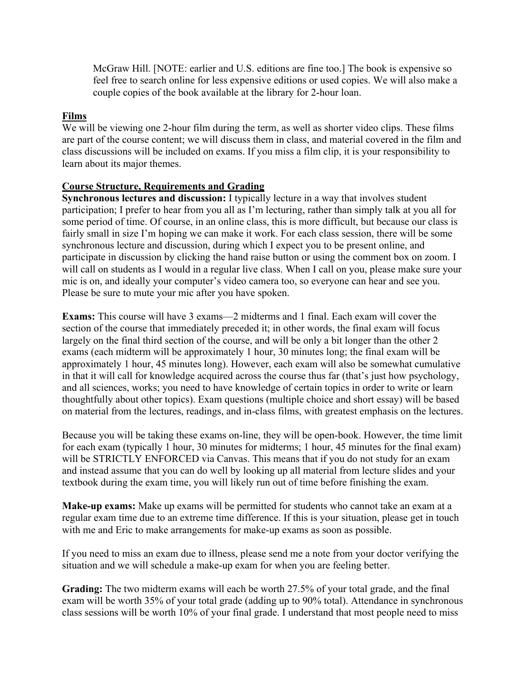McGraw Hill. [NOTE: earlier and U.S. editions are fine too.] The book is expensive so feel free to search online for less expensive editions or used copies. We will also make a couple copies of the book available at the library for 2-hour loan.

## **Films**

We will be viewing one 2-hour film during the term, as well as shorter video clips. These films are part of the course content; we will discuss them in class, and material covered in the film and class discussions will be included on exams. If you miss a film clip, it is your responsibility to learn about its major themes.

## **Course Structure, Requirements and Grading**

**Synchronous lectures and discussion:** I typically lecture in a way that involves student participation; I prefer to hear from you all as I'm lecturing, rather than simply talk at you all for some period of time. Of course, in an online class, this is more difficult, but because our class is fairly small in size I'm hoping we can make it work. For each class session, there will be some synchronous lecture and discussion, during which I expect you to be present online, and participate in discussion by clicking the hand raise button or using the comment box on zoom. I will call on students as I would in a regular live class. When I call on you, please make sure your mic is on, and ideally your computer's video camera too, so everyone can hear and see you. Please be sure to mute your mic after you have spoken.

**Exams:** This course will have 3 exams—2 midterms and 1 final. Each exam will cover the section of the course that immediately preceded it; in other words, the final exam will focus largely on the final third section of the course, and will be only a bit longer than the other 2 exams (each midterm will be approximately 1 hour, 30 minutes long; the final exam will be approximately 1 hour, 45 minutes long). However, each exam will also be somewhat cumulative in that it will call for knowledge acquired across the course thus far (that's just how psychology, and all sciences, works; you need to have knowledge of certain topics in order to write or learn thoughtfully about other topics). Exam questions (multiple choice and short essay) will be based on material from the lectures, readings, and in-class films, with greatest emphasis on the lectures.

Because you will be taking these exams on-line, they will be open-book. However, the time limit for each exam (typically 1 hour, 30 minutes for midterms; 1 hour, 45 minutes for the final exam) will be STRICTLY ENFORCED via Canvas. This means that if you do not study for an exam and instead assume that you can do well by looking up all material from lecture slides and your textbook during the exam time, you will likely run out of time before finishing the exam.

**Make-up exams:** Make up exams will be permitted for students who cannot take an exam at a regular exam time due to an extreme time difference. If this is your situation, please get in touch with me and Eric to make arrangements for make-up exams as soon as possible.

If you need to miss an exam due to illness, please send me a note from your doctor verifying the situation and we will schedule a make-up exam for when you are feeling better.

**Grading:** The two midterm exams will each be worth 27.5% of your total grade, and the final exam will be worth 35% of your total grade (adding up to 90% total). Attendance in synchronous class sessions will be worth 10% of your final grade. I understand that most people need to miss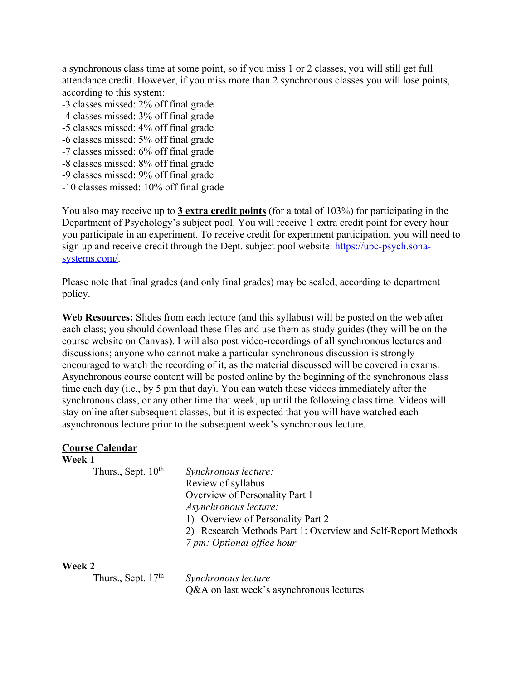a synchronous class time at some point, so if you miss 1 or 2 classes, you will still get full attendance credit. However, if you miss more than 2 synchronous classes you will lose points, according to this system:

- -3 classes missed: 2% off final grade
- -4 classes missed: 3% off final grade
- -5 classes missed: 4% off final grade
- -6 classes missed: 5% off final grade
- -7 classes missed: 6% off final grade
- -8 classes missed: 8% off final grade
- -9 classes missed: 9% off final grade
- -10 classes missed: 10% off final grade

You also may receive up to **3 extra credit points** (for a total of 103%) for participating in the Department of Psychology's subject pool. You will receive 1 extra credit point for every hour you participate in an experiment. To receive credit for experiment participation, you will need to sign up and receive credit through the Dept. subject pool website: https://ubc-psych.sonasystems.com/.

Please note that final grades (and only final grades) may be scaled, according to department policy.

**Web Resources:** Slides from each lecture (and this syllabus) will be posted on the web after each class; you should download these files and use them as study guides (they will be on the course website on Canvas). I will also post video-recordings of all synchronous lectures and discussions; anyone who cannot make a particular synchronous discussion is strongly encouraged to watch the recording of it, as the material discussed will be covered in exams. Asynchronous course content will be posted online by the beginning of the synchronous class time each day (i.e., by 5 pm that day). You can watch these videos immediately after the synchronous class, or any other time that week, up until the following class time. Videos will stay online after subsequent classes, but it is expected that you will have watched each asynchronous lecture prior to the subsequent week's synchronous lecture.

| <b>Course Calendar</b> |
|------------------------|
|------------------------|

# **Week 1**

| Thurs., Sept. $10th$ | Synchronous lecture:                                         |
|----------------------|--------------------------------------------------------------|
|                      | Review of syllabus                                           |
|                      | Overview of Personality Part 1                               |
|                      | Asynchronous lecture:                                        |
|                      | 1) Overview of Personality Part 2                            |
|                      | 2) Research Methods Part 1: Overview and Self-Report Methods |
|                      | 7 pm: Optional office hour                                   |

## **Week 2**

Thurs., Sept. 17<sup>th</sup> *Synchronous lecture* 

Q&A on last week's asynchronous lectures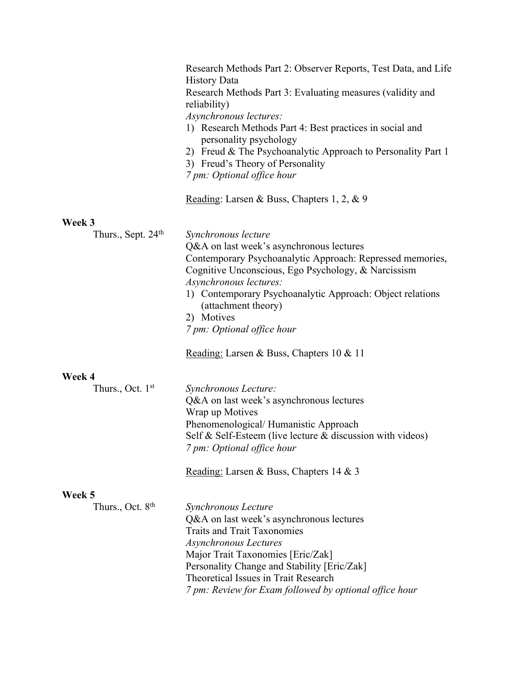|                                          | Research Methods Part 2: Observer Reports, Test Data, and Life<br><b>History Data</b><br>Research Methods Part 3: Evaluating measures (validity and<br>reliability)<br>Asynchronous lectures:<br>1) Research Methods Part 4: Best practices in social and<br>personality psychology<br>2) Freud & The Psychoanalytic Approach to Personality Part 1<br>3) Freud's Theory of Personality<br>7 pm: Optional office hour |
|------------------------------------------|-----------------------------------------------------------------------------------------------------------------------------------------------------------------------------------------------------------------------------------------------------------------------------------------------------------------------------------------------------------------------------------------------------------------------|
|                                          | Reading: Larsen & Buss, Chapters 1, 2, & 9                                                                                                                                                                                                                                                                                                                                                                            |
| Week 3<br>Thurs., Sept. 24 <sup>th</sup> | Synchronous lecture<br>Q&A on last week's asynchronous lectures<br>Contemporary Psychoanalytic Approach: Repressed memories,<br>Cognitive Unconscious, Ego Psychology, & Narcissism<br>Asynchronous lectures:<br>1) Contemporary Psychoanalytic Approach: Object relations<br>(attachment theory)<br>2) Motives<br>7 pm: Optional office hour                                                                         |
|                                          | Reading: Larsen & Buss, Chapters 10 & 11                                                                                                                                                                                                                                                                                                                                                                              |
| Week 4<br>Thurs., Oct. $1st$             | Synchronous Lecture:<br>Q&A on last week's asynchronous lectures<br>Wrap up Motives<br>Phenomenological/Humanistic Approach<br>Self & Self-Esteem (live lecture & discussion with videos)<br>7 pm: Optional office hour                                                                                                                                                                                               |
|                                          | Reading: Larsen & Buss, Chapters 14 & 3                                                                                                                                                                                                                                                                                                                                                                               |
| Week 5<br>Thurs., Oct. 8 <sup>th</sup>   | Synchronous Lecture<br>Q&A on last week's asynchronous lectures<br><b>Traits and Trait Taxonomies</b><br><b>Asynchronous Lectures</b><br>Major Trait Taxonomies [Eric/Zak]<br>Personality Change and Stability [Eric/Zak]<br>Theoretical Issues in Trait Research<br>7 pm: Review for Exam followed by optional office hour                                                                                           |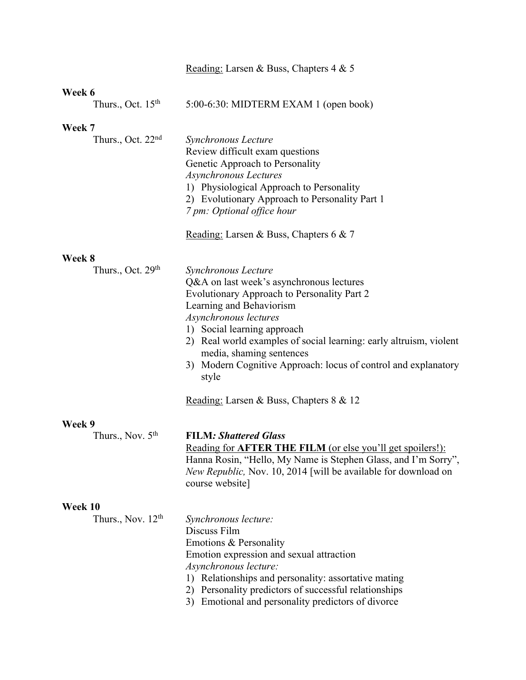|                                          | Reading: Larsen & Buss, Chapters 4 & 5                                                                                                                                                                                                                                                                                                                                          |
|------------------------------------------|---------------------------------------------------------------------------------------------------------------------------------------------------------------------------------------------------------------------------------------------------------------------------------------------------------------------------------------------------------------------------------|
| Week 6                                   |                                                                                                                                                                                                                                                                                                                                                                                 |
| Thurs., Oct. $15th$                      | 5:00-6:30: MIDTERM EXAM 1 (open book)                                                                                                                                                                                                                                                                                                                                           |
| Week 7                                   |                                                                                                                                                                                                                                                                                                                                                                                 |
| Thurs., Oct. $22nd$                      | Synchronous Lecture<br>Review difficult exam questions<br>Genetic Approach to Personality<br><b>Asynchronous Lectures</b><br>1) Physiological Approach to Personality<br>2) Evolutionary Approach to Personality Part 1<br>7 pm: Optional office hour                                                                                                                           |
|                                          | Reading: Larsen & Buss, Chapters 6 & 7                                                                                                                                                                                                                                                                                                                                          |
| Week 8                                   |                                                                                                                                                                                                                                                                                                                                                                                 |
| Thurs., Oct. 29 <sup>th</sup>            | Synchronous Lecture<br>Q&A on last week's asynchronous lectures<br>Evolutionary Approach to Personality Part 2<br>Learning and Behaviorism<br>Asynchronous lectures<br>1) Social learning approach<br>2) Real world examples of social learning: early altruism, violent<br>media, shaming sentences<br>3) Modern Cognitive Approach: locus of control and explanatory<br>style |
|                                          | Reading: Larsen & Buss, Chapters 8 & 12                                                                                                                                                                                                                                                                                                                                         |
| Week 9<br>Thurs., Nov. 5 <sup>th</sup>   | <b>FILM: Shattered Glass</b><br>Reading for AFTER THE FILM (or else you'll get spoilers!):<br>Hanna Rosin, "Hello, My Name is Stephen Glass, and I'm Sorry",<br><i>New Republic, Nov. 10, 2014</i> [will be available for download on<br>course website]                                                                                                                        |
| Week 10<br>Thurs., Nov. 12 <sup>th</sup> | Synchronous lecture:<br>Discuss Film<br>Emotions & Personality<br>Emotion expression and sexual attraction<br>Asynchronous lecture:<br>1) Relationships and personality: assortative mating<br>2) Personality predictors of successful relationships<br>3) Emotional and personality predictors of divorce                                                                      |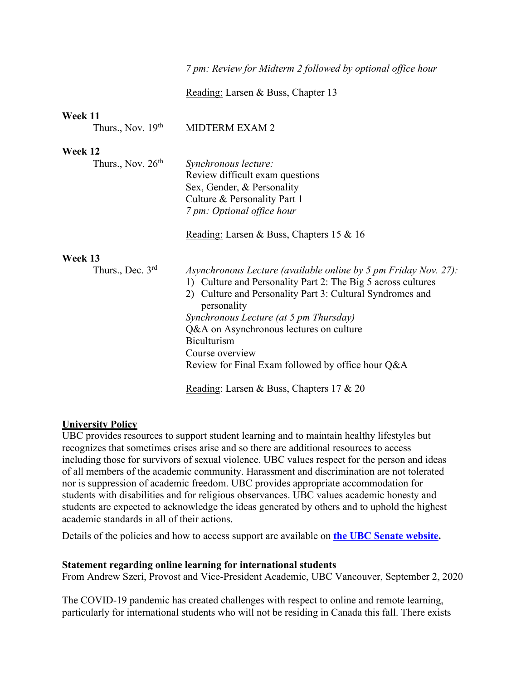## *7 pm: Review for Midterm 2 followed by optional office hour*

Reading: Larsen & Buss, Chapter 13

## **Week 11**

#### **Week 12**

| Thurs., Nov. 26 <sup>th</sup> | Synchronous lecture:                                                     |
|-------------------------------|--------------------------------------------------------------------------|
|                               | Review difficult exam questions                                          |
|                               | Sex, Gender, & Personality                                               |
|                               | Culture & Personality Part 1                                             |
|                               | 7 pm: Optional office hour                                               |
|                               | Reading: Larsen & Buss, Chapters 15 & 16                                 |
| Week 13                       |                                                                          |
| Thurs., Dec. $3rd$            | Asynchronous Lecture (available online by 5 pm Friday Nov. 27):          |
|                               | 1) Culture and Personality Part 2: The Big 5 across cultures             |
|                               | 2) Culture and Personality Part 3: Cultural Syndromes and<br>personality |
|                               | Synchronous Lecture (at 5 pm Thursday)                                   |
|                               | Q&A on Asynchronous lectures on culture                                  |
|                               | <b>Biculturism</b>                                                       |
|                               | Course overview                                                          |
|                               | Review for Final Exam followed by office hour Q&A                        |
|                               | Reading: Larsen & Buss, Chapters 17 & 20                                 |

## **University Policy**

UBC provides resources to support student learning and to maintain healthy lifestyles but recognizes that sometimes crises arise and so there are additional resources to access including those for survivors of sexual violence. UBC values respect for the person and ideas of all members of the academic community. Harassment and discrimination are not tolerated nor is suppression of academic freedom. UBC provides appropriate accommodation for students with disabilities and for religious observances. UBC values academic honesty and students are expected to acknowledge the ideas generated by others and to uphold the highest academic standards in all of their actions.

Details of the policies and how to access support are available on **the UBC Senate website.**

#### **Statement regarding online learning for international students**

From Andrew Szeri, Provost and Vice-President Academic, UBC Vancouver, September 2, 2020

The COVID-19 pandemic has created challenges with respect to online and remote learning, particularly for international students who will not be residing in Canada this fall. There exists